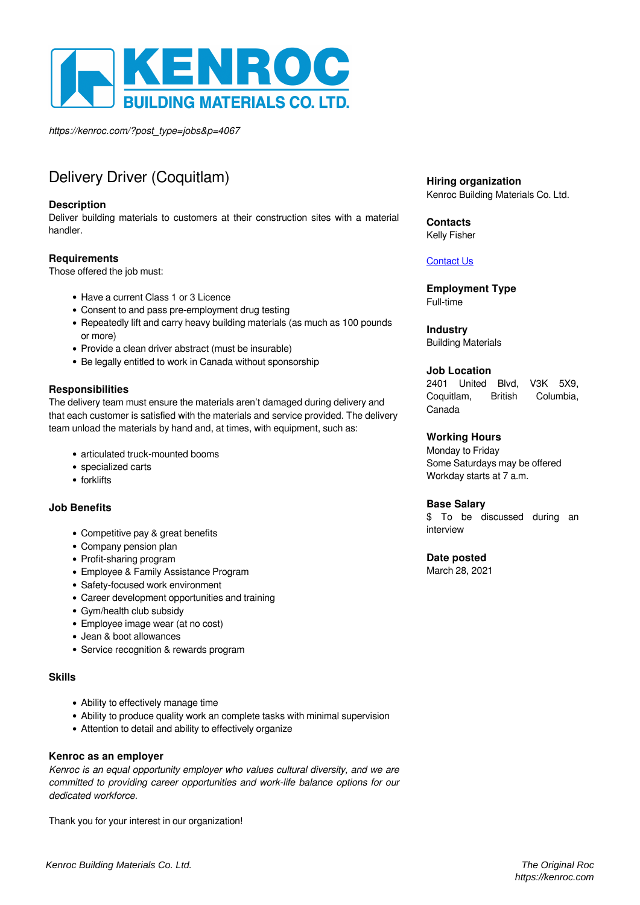

*https://kenroc.com/?post\_type=jobs&p=4067*

# Delivery Driver (Coquitlam)

#### **Description**

Deliver building materials to customers at their construction sites with a material handler.

## **Requirements**

Those offered the job must:

- Have a current Class 1 or 3 Licence
- Consent to and pass pre-employment drug testing
- Repeatedly lift and carry heavy building materials (as much as 100 pounds or more)
- Provide a clean driver abstract (must be insurable)
- Be legally entitled to work in Canada without sponsorship

## **Responsibilities**

The delivery team must ensure the materials aren't damaged during delivery and that each customer is satisfied with the materials and service provided. The delivery team unload the materials by hand and, at times, with equipment, such as:

- articulated truck-mounted booms
- specialized carts
- forklifts

#### **Job Benefits**

- Competitive pay & great benefits
- Company pension plan
- Profit-sharing program
- Employee & Family Assistance Program
- Safety-focused work environment
- Career development opportunities and training
- Gym/health club subsidy
- Employee image wear (at no cost)
- Jean & boot allowances
- Service recognition & rewards program

#### **Skills**

- Ability to effectively manage time
- Ability to produce quality work an complete tasks with minimal supervision
- Attention to detail and ability to effectively organize

#### **Kenroc as an employer**

*Kenroc is an equal opportunity employer who values cultural diversity, and we are committed to providing career opportunities and work-life balance options for our dedicated workforce.*

Thank you for your interest in our organization!

**Hiring organization** Kenroc Building Materials Co. Ltd.

**Contacts** Kelly Fisher

#### [Contact Us](https://kenroc.com/locations/coquitlam/)

**Employment Type** Full-time

# **Industry**

Building Materials

#### **Job Location**

2401 United Blvd, V3K 5X9, Coquitlam, British Columbia, Canada

#### **Working Hours**

Monday to Friday Some Saturdays may be offered Workday starts at 7 a.m.

#### **Base Salary**

\$ To be discussed during an interview

# **Date posted**

March 28, 2021